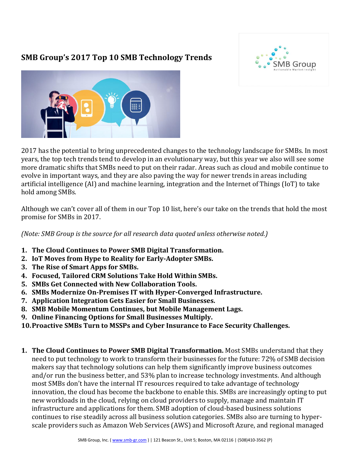## **SMB Group's 2017 Top 10 SMB Technology Trends**





2017 has the potential to bring unprecedented changes to the technology landscape for SMBs. In most years, the top tech trends tend to develop in an evolutionary way, but this year we also will see some more dramatic shifts that SMBs need to put on their radar. Areas such as cloud and mobile continue to evolve in important ways, and they are also paving the way for newer trends in areas including artificial intelligence (AI) and machine learning, integration and the Internet of Things (IoT) to take hold among SMBs.

Although we can't cover all of them in our Top 10 list, here's our take on the trends that hold the most promise for SMBs in 2017.

*(Note: SMB Group is the source for all research data quoted unless otherwise noted.)*

- **1. The Cloud Continues to Power SMB Digital Transformation.**
- **2. IoT Moves from Hype to Reality for Early-Adopter SMBs.**
- **3. The Rise of Smart Apps for SMBs.**
- **4. Focused, Tailored CRM Solutions Take Hold Within SMBs.**
- **5. SMBs Get Connected with New Collaboration Tools.**
- **6. SMBs Modernize On-Premises IT with Hyper-Converged Infrastructure.**
- **7. Application Integration Gets Easier for Small Businesses.**
- **8. SMB Mobile Momentum Continues, but Mobile Management Lags.**
- **9. Online Financing Options for Small Businesses Multiply.**
- **10.Proactive SMBs Turn to MSSPs and Cyber Insurance to Face Security Challenges.**
- **1. The Cloud Continues to Power SMB Digital Transformation.** Most SMBs understand that they need to put technology to work to transform their businesses for the future: 72% of SMB decision makers say that technology solutions can help them significantly improve business outcomes and/or run the business better, and 53% plan to increase technology investments. And although most SMBs don't have the internal IT resources required to take advantage of technology innovation, the cloud has become the backbone to enable this. SMBs are increasingly opting to put new workloads in the cloud, relying on cloud providers to supply, manage and maintain IT infrastructure and applications for them. SMB adoption of cloud-based business solutions continues to rise steadily across all business solution categories. SMBs also are turning to hyperscale providers such as Amazon Web Services (AWS) and Microsoft Azure, and regional managed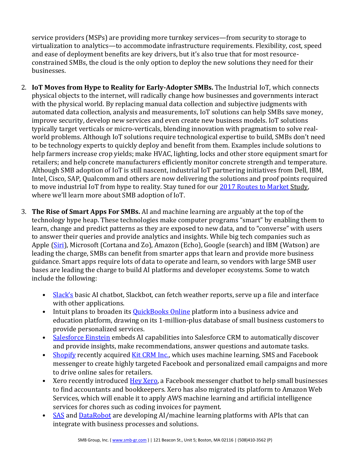service providers (MSPs) are providing more turnkey services—from security to storage to virtualization to analytics—to accommodate infrastructure requirements. Flexibility, cost, speed and ease of deployment benefits are key drivers, but it's also true that for most resourceconstrained SMBs, the cloud is the only option to deploy the new solutions they need for their businesses.

- 2. **IoT Moves from Hype to Reality for Early-Adopter SMBs.** The Industrial IoT, which connects physical objects to the internet, will radically change how businesses and governments interact with the physical world. By replacing manual data collection and subjective judgments with automated data collection, analysis and measurements, IoT solutions can help SMBs save money, improve security, develop new services and even create new business models. IoT solutions typically target verticals or micro-verticals, blending innovation with pragmatism to solve realworld problems. Although IoT solutions require technological expertise to build, SMBs don't need to be technology experts to quickly deploy and benefit from them. Examples include solutions to help farmers increase crop yields; make HVAC, lighting, locks and other store equipment smart for retailers; and help concrete manufacturers efficiently monitor concrete strength and temperature. Although SMB adoption of IoT is still nascent, industrial IoT partnering initiatives from Dell, IBM, Intel, Cisco, SAP, Qualcomm and others are now delivering the solutions and proof points required to move industrial IoT from hype to reality. Stay tuned for our [2017 Routes to Market](http://www.smb-gr.com/wp-content/uploads/2016/11/FINAL-2017-RTM-brochure.pdf) Study, where we'll learn more about SMB adoption of IoT.
- 3. **The Rise of Smart Apps For SMBs.** AI and machine learning are arguably at the top of the technology hype heap. These technologies make computer programs "smart" by enabling them to learn, change and predict patterns as they are exposed to new data, and to "converse" with users to answer their queries and provide analytics and insights. While big tech companies such as Apple [\(Siri\)](http://www.apple.com/ios/siri/), Microsoft (Cortana and Zo), Amazon (Echo), Google (search) and IBM (Watson) are leading the charge, SMBs can benefit from smarter apps that learn and provide more business guidance. Smart apps require lots of data to operate and learn, so vendors with large SMB user bases are leading the charge to build AI platforms and developer ecosystems. Some to watch include the following:
	- [Slack's](http://www.slack.com/) basic AI chatbot, Slackbot, can fetch weather reports, serve up a file and interface with other applications.
	- Intuit plans to broaden its **QuickBooks Online** platform into a business advice and education platform, drawing on its 1-million-plus database of small business customers to provide personalized services.
	- [Salesforce Einstein](https://www.salesforce.com/products/einstein/overview/) embeds AI capabilities into Salesforce CRM to automatically discover and provide insights, make recommendations, answer questions and automate tasks.
	- [Shopify](https://www.shopify.com/) recently acquire[d Kit CRM Inc.,](https://www.kitcrm.com/) which uses machine learning, SMS and Facebook messenger to create highly targeted Facebook and personalized email campaigns and more to drive online sales for retailers.
	- Xero recently introduced [Hey Xero,](https://www.xero.com/blog/2016/09/xero-chatbot-messenger/) a Facebook messenger chatbot to help small businesses to find accountants and bookkeepers. Xero has also migrated its platform to Amazon Web Services, which will enable it to apply AWS machine learning and artificial intelligence services for chores such as coding invoices for payment.
	- [SAS](http://www.sas.com/) and [DataRobot](http://www.datarobot.com/) are developing AI/machine learning platforms with APIs that can integrate with business processes and solutions.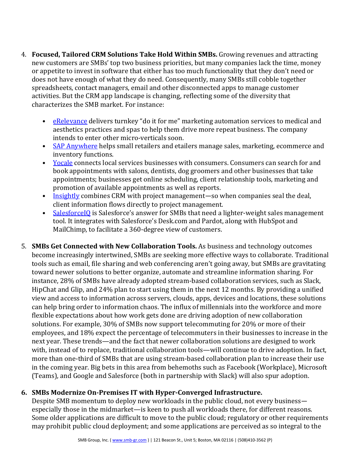- 4. **Focused, Tailored CRM Solutions Take Hold Within SMBs.** Growing revenues and attracting new customers are SMBs' top two business priorities, but many companies lack the time, money or appetite to invest in software that either has too much functionality that they don't need or does not have enough of what they do need. Consequently, many SMBs still cobble together spreadsheets, contact managers, email and other disconnected apps to manage customer activities. But the CRM app landscape is changing, reflecting some of the diversity that characterizes the SMB market. For instance:
	- [eRelevance](http://www.erelevancecorp.com/) delivers turnkey "do it for me" marketing automation services to medical and aesthetics practices and spas to help them drive more repeat business. The company intends to enter other micro-verticals soon.
	- [SAP Anywhere](http://www.sap.com/SAPAnywhere) helps small retailers and etailers manage sales, marketing, ecommerce and inventory functions.
	- [Yocale](https://www.yocale.com/) connects local services businesses with consumers. Consumers can search for and book appointments with salons, dentists, dog groomers and other businesses that take appointments; businesses get online scheduling, client relationship tools, marketing and promotion of available appointments as well as reports.
	- [Insightly](http://www.insightly.com/) combines CRM with project management—so when companies seal the deal, client information flows directly to project management.
	- [SalesforceIQ](https://www.salesforceiq.com/) is Salesforce's answer for SMBs that need a lighter-weight sales management tool. It integrates with Salesforce's Desk.com and Pardot, along with HubSpot and MailChimp, to facilitate a 360-degree view of customers.
- 5. **SMBs Get Connected with New Collaboration Tools.** As business and technology outcomes become increasingly intertwined, SMBs are seeking more effective ways to collaborate. Traditional tools such as email, file sharing and web conferencing aren't going away, but SMBs are gravitating toward newer solutions to better organize, automate and streamline information sharing. For instance, 28% of SMBs have already adopted stream-based collaboration services, such as Slack, HipChat and Glip, and 24% plan to start using them in the next 12 months. By providing a unified view and access to information across servers, clouds, apps, devices and locations, these solutions can help bring order to information chaos. The influx of millennials into the workforce and more flexible expectations about how work gets done are driving adoption of new collaboration solutions. For example, 30% of SMBs now support telecommuting for 20% or more of their employees, and 18% expect the percentage of telecommuters in their businesses to increase in the next year. These trends—and the fact that newer collaboration solutions are designed to work with, instead of to replace, traditional collaboration tools—will continue to drive adoption. In fact, more than one-third of SMBs that are using stream-based collaboration plan to increase their use in the coming year. Big bets in this area from behemoths such as Facebook (Workplace), Microsoft (Teams), and Google and Salesforce (both in partnership with Slack) will also spur adoption.

## **6. SMBs Modernize On-Premises IT with Hyper-Converged Infrastructure.**

Despite SMB momentum to deploy new workloads in the public cloud, not every business especially those in the midmarket—is keen to push all workloads there, for different reasons. Some older applications are difficult to move to the public cloud; regulatory or other requirements may prohibit public cloud deployment; and some applications are perceived as so integral to the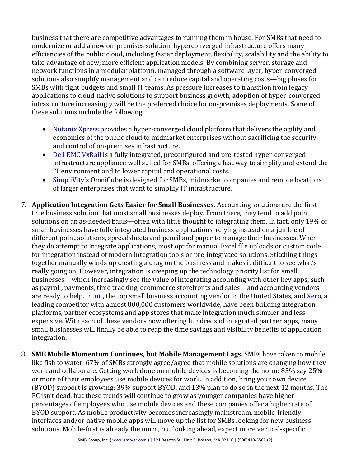business that there are competitive advantages to running them in house. For SMBs that need to modernize or add a new on-premises solution, hyperconverged infrastructure offers many efficiencies of the public cloud, including faster deployment, flexibility, scalability and the ability to take advantage of new, more efficient application models. By combining server, storage and network functions in a modular platform, managed through a software layer, hyper-converged solutions also simplify management and can reduce capital and operating costs—big pluses for SMBs with tight budgets and small IT teams. As pressure increases to transition from legacy applications to cloud-native solutions to support business growth, adoption of hyper-converged infrastructure increasingly will be the preferred choice for on-premises deployments. Some of these solutions include the following:

- [Nutanix Xpress](https://www.nutanix.com/xpress/) provides a hyper-converged cloud platform that delivers the agility and economics of the public cloud to midmarket enterprises without sacrificing the security and control of on-premises infrastructure.
- Dell [EMC VxRail](http://www.dell.com/us/business/p/vmware-vxrail/pd) is a fully integrated, preconfigured and pre-tested hyper-converged infrastructure appliance well suited for SMBs, offering a fast way to simplify and extend the IT environment and to lower capital and operational costs.
- [SimpliVity's](https://www.simplivity.com/cloud-computing/software-defined-data-center/) OmniCube is designed for SMBs, midmarket companies and remote locations of larger enterprises that want to simplify IT infrastructure.
- 7. **Application Integration Gets Easier for Small Businesses.** Accounting solutions are the first true business solution that most small businesses deploy. From there, they tend to add point solutions on an as-needed basis—often with little thought to integrating them. In fact, only 19% of small businesses have fully integrated business applications, relying instead on a jumble of different point solutions, spreadsheets and pencil and paper to manage their businesses. When they do attempt to integrate applications, most opt for manual Excel file uploads or custom code for integration instead of modern integration tools or pre-integrated solutions. Stitching things together manually winds up creating a drag on the business and makes it difficult to see what's really going on. However, integration is creeping up the technology priority list for small businesses—which increasingly see the value of integrating accounting with other key apps, such as payroll, payments, time tracking, ecommerce storefronts and sales—and accounting vendors are ready to help. [Intuit,](https://apps.intuit.com/) the top small business accounting vendor in the United States, and [Xero,](https://www.xero.com/us/marketplace/s/app-functions) a leading competitor with almost 800,000 customers worldwide, have been building integration platforms, partner ecosystems and app stores that make integration much simpler and less expensive. With each of these vendors now offering hundreds of integrated partner apps, many small businesses will finally be able to reap the time savings and visibility benefits of application integration.
- 8. **SMB Mobile Momentum Continues, but Mobile Management Lags.** SMBs have taken to mobile like fish to water: 67% of SMBs strongly agree/agree that mobile solutions are changing how they work and collaborate. Getting work done on mobile devices is becoming the norm: 83% say 25% or more of their employees use mobile devices for work. In addition, bring your own device (BYOD) support is growing: 39% support BYOD, and 13% plan to do so in the next 12 months. The PC isn't dead, but these trends will continue to grow as younger companies have higher percentages of employees who use mobile devices and these companies offer a higher rate of BYOD support. As mobile productivity becomes increasingly mainstream, mobile-friendly interfaces and/or native mobile apps will move up the list for SMBs looking for new business solutions. Mobile-first is already the norm, but looking ahead, expect more vertical-specific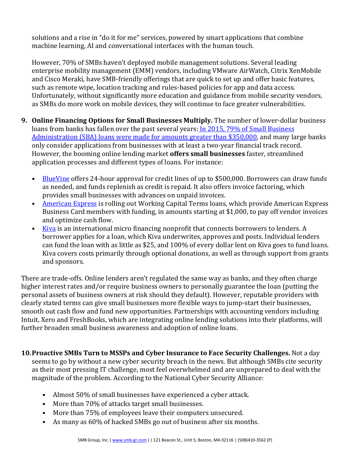solutions and a rise in "do it for me" services, powered by smart applications that combine machine learning, AI and conversational interfaces with the human touch.

However, 70% of SMBs haven't deployed mobile management solutions. Several leading enterprise mobility management (EMM) vendors, including VMware AirWatch, Citrix XenMobile and Cisco Meraki, have SMB-friendly offerings that are quick to set up and offer basic features, such as remote wipe, location tracking and rules-based policies for app and data access. Unfortunately, without significantly more education and guidance from mobile security vendors, as SMBs do more work on mobile devices, they will continue to face greater vulnerabilities.

- **9. Online Financing Options for Small Businesses Multiply.** The number of lower-dollar business loans from banks has fallen over the past several years: In 2015, 79% of Small Business Administration (SBA) loans were [made for amounts greater than \\$350,000,](https://www.sba.gov/sites/default/files/aboutsbaarticle/WebsiteReport_asof_09_30_2015.pdf) and many large banks only consider applications from businesses with at least a two-year financial track record. However, the booming online lending market **offers small businesses** faster, streamlined application processes and different types of loans. For instance:
	- [BlueVine](https://www.bluevine.com/) offers 24-hour approval for credit lines of up to \$500,000. Borrowers can draw funds as needed, and funds replenish as credit is repaid. It also offers invoice factoring, which provides small businesses with advances on unpaid invoices.
	- [American Express](http://www.businessnewsdaily.com/9211-american-express-loan.html) is rolling out Working Capital Terms loans, which provide American Express Business Card members with funding, in amounts starting at \$1,000, to pay off vendor invoices and optimize cash flow.
	- [Kiva](https://www.kiva.org/) is an international micro financing nonprofit that connects borrowers to lenders. A borrower applies for a loan, which Kiva underwrites, approves and posts. Individual lenders can fund the loan with as little as \$25, and 100% of every dollar lent on Kiva goes to fund loans. Kiva covers costs primarily through optional donations, as well as through support from grants and sponsors.

There are trade-offs. Online lenders aren't regulated the same way as banks, and they often charge higher interest rates and/or require business owners to personally guarantee the loan (putting the personal assets of business owners at risk should they default). However, reputable providers with clearly stated terms can give small businesses more flexible ways to jump-start their businesses, smooth out cash flow and fund new opportunities. Partnerships with accounting vendors including Intuit, Xero and FreshBooks, which are integrating online lending solutions into their platforms, will further broaden small business awareness and adoption of online loans.

- **10.Proactive SMBs Turn to MSSPs and Cyber Insurance to Face Security Challenges.** Not a day seems to go by without a new cyber security breach in the news. But although SMBs cite security as their most pressing IT challenge, most feel overwhelmed and are unprepared to deal with the magnitude of the problem. According to the National Cyber Security Alliance:
	- Almost 50% of small businesses have experienced a cyber attack.
	- More than 70% of attacks target small businesses.
	- More than 75% of employees leave their computers unsecured.
	- As many as 60% of hacked SMBs go out of business after six months.